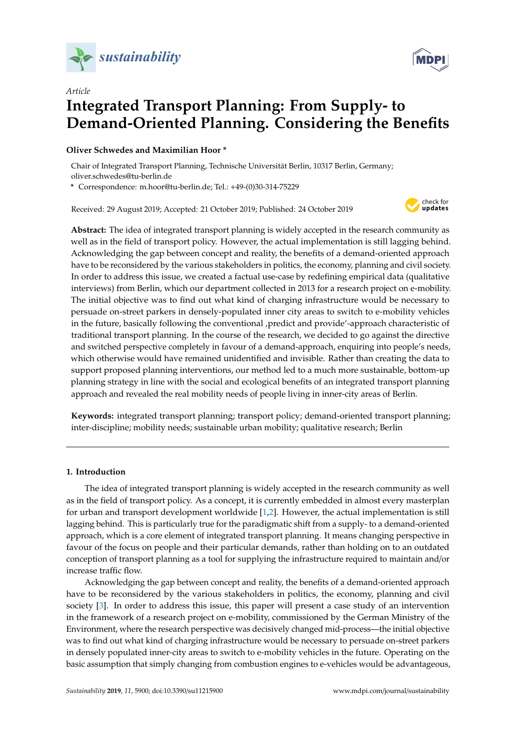

# *Article* **Integrated Transport Planning: From Supply- to Demand-Oriented Planning. Considering the Benefits**

## **Oliver Schwedes and Maximilian Hoor \***

Chair of Integrated Transport Planning, Technische Universität Berlin, 10317 Berlin, Germany; oliver.schwedes@tu-berlin.de

**\*** Correspondence: m.hoor@tu-berlin.de; Tel.: +49-(0)30-314-75229

Received: 29 August 2019; Accepted: 21 October 2019; Published: 24 October 2019



**Abstract:** The idea of integrated transport planning is widely accepted in the research community as well as in the field of transport policy. However, the actual implementation is still lagging behind. Acknowledging the gap between concept and reality, the benefits of a demand-oriented approach have to be reconsidered by the various stakeholders in politics, the economy, planning and civil society. In order to address this issue, we created a factual use-case by redefining empirical data (qualitative interviews) from Berlin, which our department collected in 2013 for a research project on e-mobility. The initial objective was to find out what kind of charging infrastructure would be necessary to persuade on-street parkers in densely-populated inner city areas to switch to e-mobility vehicles in the future, basically following the conventional , predict and provide'-approach characteristic of traditional transport planning. In the course of the research, we decided to go against the directive and switched perspective completely in favour of a demand-approach, enquiring into people's needs, which otherwise would have remained unidentified and invisible. Rather than creating the data to support proposed planning interventions, our method led to a much more sustainable, bottom-up planning strategy in line with the social and ecological benefits of an integrated transport planning approach and revealed the real mobility needs of people living in inner-city areas of Berlin.

**Keywords:** integrated transport planning; transport policy; demand-oriented transport planning; inter-discipline; mobility needs; sustainable urban mobility; qualitative research; Berlin

## **1. Introduction**

The idea of integrated transport planning is widely accepted in the research community as well as in the field of transport policy. As a concept, it is currently embedded in almost every masterplan for urban and transport development worldwide [\[1,](#page-10-0)[2\]](#page-10-1). However, the actual implementation is still lagging behind. This is particularly true for the paradigmatic shift from a supply- to a demand-oriented approach, which is a core element of integrated transport planning. It means changing perspective in favour of the focus on people and their particular demands, rather than holding on to an outdated conception of transport planning as a tool for supplying the infrastructure required to maintain and/or increase traffic flow.

Acknowledging the gap between concept and reality, the benefits of a demand-oriented approach have to be reconsidered by the various stakeholders in politics, the economy, planning and civil society [\[3\]](#page-10-2). In order to address this issue, this paper will present a case study of an intervention in the framework of a research project on e-mobility, commissioned by the German Ministry of the Environment, where the research perspective was decisively changed mid-process—the initial objective was to find out what kind of charging infrastructure would be necessary to persuade on-street parkers in densely populated inner-city areas to switch to e-mobility vehicles in the future. Operating on the basic assumption that simply changing from combustion engines to e-vehicles would be advantageous,

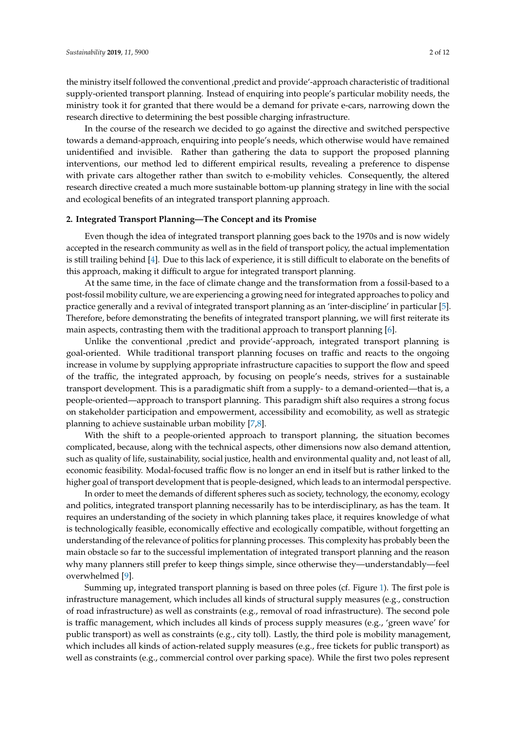the ministry itself followed the conventional 'predict and provide'-approach characteristic of traditional supply-oriented transport planning. Instead of enquiring into people's particular mobility needs, the ministry took it for granted that there would be a demand for private e-cars, narrowing down the research directive to determining the best possible charging infrastructure.

In the course of the research we decided to go against the directive and switched perspective towards a demand-approach, enquiring into people's needs, which otherwise would have remained unidentified and invisible. Rather than gathering the data to support the proposed planning interventions, our method led to different empirical results, revealing a preference to dispense with private cars altogether rather than switch to e-mobility vehicles. Consequently, the altered research directive created a much more sustainable bottom-up planning strategy in line with the social and ecological benefits of an integrated transport planning approach.

#### **2. Integrated Transport Planning—The Concept and its Promise**

Even though the idea of integrated transport planning goes back to the 1970s and is now widely accepted in the research community as well as in the field of transport policy, the actual implementation is still trailing behind [\[4\]](#page-10-3). Due to this lack of experience, it is still difficult to elaborate on the benefits of this approach, making it difficult to argue for integrated transport planning.

At the same time, in the face of climate change and the transformation from a fossil-based to a post-fossil mobility culture, we are experiencing a growing need for integrated approaches to policy and practice generally and a revival of integrated transport planning as an 'inter-discipline' in particular [\[5\]](#page-10-4). Therefore, before demonstrating the benefits of integrated transport planning, we will first reiterate its main aspects, contrasting them with the traditional approach to transport planning [\[6\]](#page-10-5).

Unlike the conventional 'predict and provide'-approach, integrated transport planning is goal-oriented. While traditional transport planning focuses on traffic and reacts to the ongoing increase in volume by supplying appropriate infrastructure capacities to support the flow and speed of the traffic, the integrated approach, by focusing on people's needs, strives for a sustainable transport development. This is a paradigmatic shift from a supply- to a demand-oriented—that is, a people-oriented—approach to transport planning. This paradigm shift also requires a strong focus on stakeholder participation and empowerment, accessibility and ecomobility, as well as strategic planning to achieve sustainable urban mobility [\[7,](#page-10-6)[8\]](#page-10-7).

With the shift to a people-oriented approach to transport planning, the situation becomes complicated, because, along with the technical aspects, other dimensions now also demand attention, such as quality of life, sustainability, social justice, health and environmental quality and, not least of all, economic feasibility. Modal-focused traffic flow is no longer an end in itself but is rather linked to the higher goal of transport development that is people-designed, which leads to an intermodal perspective.

In order to meet the demands of different spheres such as society, technology, the economy, ecology and politics, integrated transport planning necessarily has to be interdisciplinary, as has the team. It requires an understanding of the society in which planning takes place, it requires knowledge of what is technologically feasible, economically effective and ecologically compatible, without forgetting an understanding of the relevance of politics for planning processes. This complexity has probably been the main obstacle so far to the successful implementation of integrated transport planning and the reason why many planners still prefer to keep things simple, since otherwise they—understandably—feel overwhelmed [\[9\]](#page-10-8).

Summing up, integrated transport planning is based on three poles (cf. Figure [1\)](#page-2-0). The first pole is infrastructure management, which includes all kinds of structural supply measures (e.g., construction of road infrastructure) as well as constraints (e.g., removal of road infrastructure). The second pole is traffic management, which includes all kinds of process supply measures (e.g., 'green wave' for public transport) as well as constraints (e.g., city toll). Lastly, the third pole is mobility management, which includes all kinds of action-related supply measures (e.g., free tickets for public transport) as well as constraints (e.g., commercial control over parking space). While the first two poles represent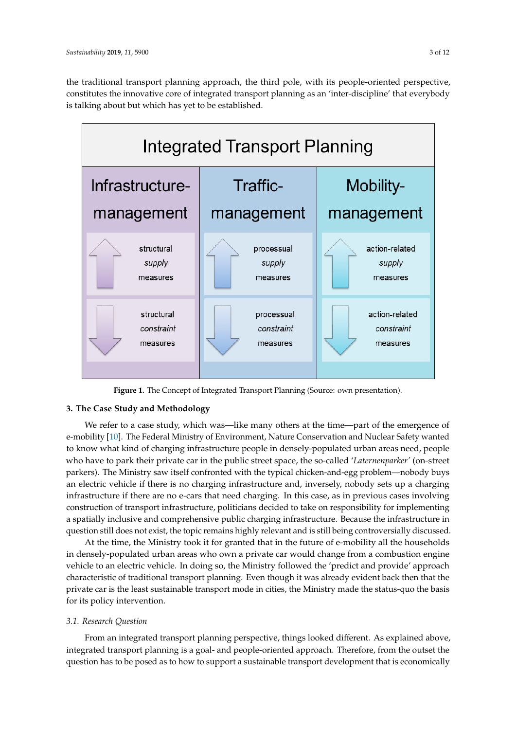the traditional transport planning approach, the third pole, with its people-oriented perspective, constitutes the innovative core of integrated transport planning as an 'inter-discipline' that everybody is talking about but which has yet to be established.

<span id="page-2-0"></span>

**Figure 1.** The Concept of Integrated Transport Planning (Source: own presentation).

# **Figure 1.** The Concept of Integrated Transport Planning (Source: own presentation). **3. The Case Study and Methodology**

We refer to a case study, which was—like many others at the time—part of the emergence of e-mobility [\[10\]](#page-10-9). The Federal Ministry of Environment, Nature Conservation and Nuclear Safety wanted<br>. to know what kind of charging infrastructure people in densely-populated urban areas need, people in the Nuclear Safety was also conserved to know what is not conserved in the same of the same of the same of the same of th who have to park their private car in the public street space, the so-called '*Laternenparker'* (on-street parkers). The Ministry saw itself confronted with the typical chicken-and-egg problem—nobody buys<br> *Laterner* (*ourser*) an electric vehicle if there is no charging infrastructure and, inversely, nobody sets up a charging infrastructure and, inversely, nobody sets up a charging infrastructure if there are no e-cars that need charging. In this case, as in previous cases involving interval construction of transport infrastructure, politicians decided to take on responsibility for implementing construction of transport infrastructure, politicians decided to take on responsibility for implementing a spatially inclusive and comprehensive public charging infrastructure. Because the infrastructure in<br>a spatially inclusive and comprehensive public charging infrastructure. Because the infrastructure in question still does not exist, the topic remains highly relevant and is still being controversially discussed.<br>
The topic relationships and infrastructure of the topic relationships and international charge of the topic r

At the time, the Ministry took it for granted that in the future of e-mobility all the households in the future of e-mobility all the households in densely-populated urban areas who own a private car would change from a combustion engine vehicle to an electric vehicle. In doing so, the Ministry followed the 'predict and provide' approach<br> characteristic of traditional transport planning. Even though it was already evident back then that the private car is the least sustainable transport mode in cities, the Ministry made the status-quo the basis  $\epsilon$ for its policy intervention.

# the private car is the least sustainable transport mode in cities, the Ministry made the status-quo the *3.1. Research Question*

3.1. *Research Question*  integrated transport planning is a goal- and people-oriented approach. Therefore, from the outset the From an integrated transport planning perspective, things looked different. As explained above, question has to be posed as to how to support a sustainable transport development that is economically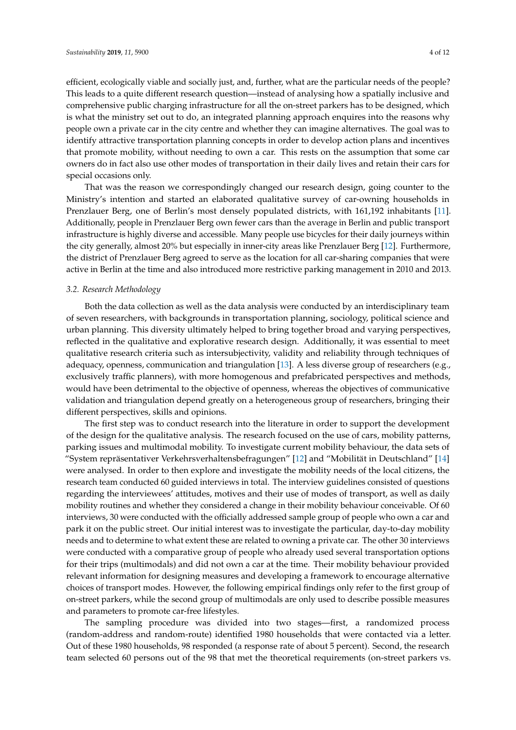efficient, ecologically viable and socially just, and, further, what are the particular needs of the people? This leads to a quite different research question—instead of analysing how a spatially inclusive and comprehensive public charging infrastructure for all the on-street parkers has to be designed, which is what the ministry set out to do, an integrated planning approach enquires into the reasons why people own a private car in the city centre and whether they can imagine alternatives. The goal was to identify attractive transportation planning concepts in order to develop action plans and incentives that promote mobility, without needing to own a car. This rests on the assumption that some car owners do in fact also use other modes of transportation in their daily lives and retain their cars for special occasions only.

That was the reason we correspondingly changed our research design, going counter to the Ministry's intention and started an elaborated qualitative survey of car-owning households in Prenzlauer Berg, one of Berlin's most densely populated districts, with 161,192 inhabitants [\[11\]](#page-10-10). Additionally, people in Prenzlauer Berg own fewer cars than the average in Berlin and public transport infrastructure is highly diverse and accessible. Many people use bicycles for their daily journeys within the city generally, almost 20% but especially in inner-city areas like Prenzlauer Berg [\[12\]](#page-10-11). Furthermore, the district of Prenzlauer Berg agreed to serve as the location for all car-sharing companies that were active in Berlin at the time and also introduced more restrictive parking management in 2010 and 2013.

#### *3.2. Research Methodology*

Both the data collection as well as the data analysis were conducted by an interdisciplinary team of seven researchers, with backgrounds in transportation planning, sociology, political science and urban planning. This diversity ultimately helped to bring together broad and varying perspectives, reflected in the qualitative and explorative research design. Additionally, it was essential to meet qualitative research criteria such as intersubjectivity, validity and reliability through techniques of adequacy, openness, communication and triangulation [\[13\]](#page-10-12). A less diverse group of researchers (e.g., exclusively traffic planners), with more homogenous and prefabricated perspectives and methods, would have been detrimental to the objective of openness, whereas the objectives of communicative validation and triangulation depend greatly on a heterogeneous group of researchers, bringing their different perspectives, skills and opinions.

The first step was to conduct research into the literature in order to support the development of the design for the qualitative analysis. The research focused on the use of cars, mobility patterns, parking issues and multimodal mobility. To investigate current mobility behaviour, the data sets of "System repräsentativer Verkehrsverhaltensbefragungen" [\[12\]](#page-10-11) and "Mobilität in Deutschland" [\[14\]](#page-10-13) were analysed. In order to then explore and investigate the mobility needs of the local citizens, the research team conducted 60 guided interviews in total. The interview guidelines consisted of questions regarding the interviewees' attitudes, motives and their use of modes of transport, as well as daily mobility routines and whether they considered a change in their mobility behaviour conceivable. Of 60 interviews, 30 were conducted with the officially addressed sample group of people who own a car and park it on the public street. Our initial interest was to investigate the particular, day-to-day mobility needs and to determine to what extent these are related to owning a private car. The other 30 interviews were conducted with a comparative group of people who already used several transportation options for their trips (multimodals) and did not own a car at the time. Their mobility behaviour provided relevant information for designing measures and developing a framework to encourage alternative choices of transport modes. However, the following empirical findings only refer to the first group of on-street parkers, while the second group of multimodals are only used to describe possible measures and parameters to promote car-free lifestyles.

The sampling procedure was divided into two stages—first, a randomized process (random-address and random-route) identified 1980 households that were contacted via a letter. Out of these 1980 households, 98 responded (a response rate of about 5 percent). Second, the research team selected 60 persons out of the 98 that met the theoretical requirements (on-street parkers vs.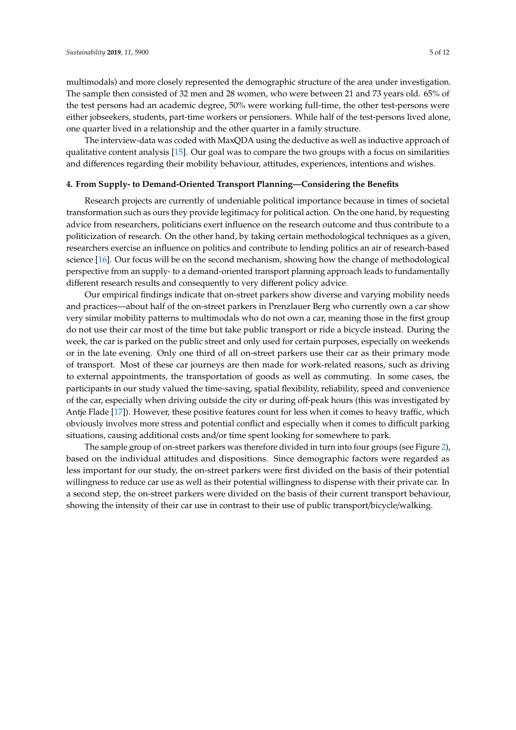multimodals) and more closely represented the demographic structure of the area under investigation. The sample then consisted of 32 men and 28 women, who were between 21 and 73 years old. 65% of the test persons had an academic degree, 50% were working full-time, the other test-persons were either jobseekers, students, part-time workers or pensioners. While half of the test-persons lived alone, one quarter lived in a relationship and the other quarter in a family structure.

The interview-data was coded with MaxQDA using the deductive as well as inductive approach of qualitative content analysis [\[15\]](#page-10-14). Our goal was to compare the two groups with a focus on similarities and differences regarding their mobility behaviour, attitudes, experiences, intentions and wishes.

#### **4. From Supply- to Demand-Oriented Transport Planning—Considering the Benefits**

Research projects are currently of undeniable political importance because in times of societal transformation such as ours they provide legitimacy for political action. On the one hand, by requesting advice from researchers, politicians exert influence on the research outcome and thus contribute to a politicization of research. On the other hand, by taking certain methodological techniques as a given, researchers exercise an influence on politics and contribute to lending politics an air of research-based science [\[16\]](#page-10-15). Our focus will be on the second mechanism, showing how the change of methodological perspective from an supply- to a demand-oriented transport planning approach leads to fundamentally different research results and consequently to very different policy advice.

Our empirical findings indicate that on-street parkers show diverse and varying mobility needs and practices—about half of the on-street parkers in Prenzlauer Berg who currently own a car show very similar mobility patterns to multimodals who do not own a car, meaning those in the first group do not use their car most of the time but take public transport or ride a bicycle instead. During the week, the car is parked on the public street and only used for certain purposes, especially on weekends or in the late evening. Only one third of all on-street parkers use their car as their primary mode of transport. Most of these car journeys are then made for work-related reasons, such as driving to external appointments, the transportation of goods as well as commuting. In some cases, the participants in our study valued the time-saving, spatial flexibility, reliability, speed and convenience of the car, especially when driving outside the city or during off-peak hours (this was investigated by Antje Flade [\[17\]](#page-10-16)). However, these positive features count for less when it comes to heavy traffic, which obviously involves more stress and potential conflict and especially when it comes to difficult parking situations, causing additional costs and/or time spent looking for somewhere to park.

The sample group of on-street parkers was therefore divided in turn into four groups (see Figure [2\)](#page-5-0), based on the individual attitudes and dispositions. Since demographic factors were regarded as less important for our study, the on-street parkers were first divided on the basis of their potential willingness to reduce car use as well as their potential willingness to dispense with their private car. In a second step, the on-street parkers were divided on the basis of their current transport behaviour, showing the intensity of their car use in contrast to their use of public transport/bicycle/walking.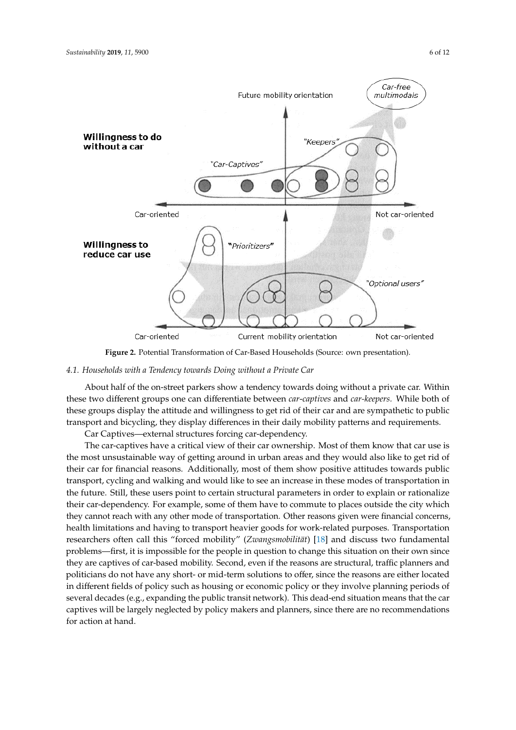

<span id="page-5-0"></span>

**Figure 2.** Potential Transformation of Car-Based Households (Source: own presentation).

## *4.1. Households with a Tendency towards Doing without a Private Car*

these two different groups one can differentiate between *car-captives* and *car-keepers*. While both of *Recommendations for Action*  transport and bicycling, they display differences in their daily mobility patterns and requirements. About half of the on-street parkers show a tendency towards doing without a private car. Within these groups display the attitude and willingness to get rid of their car and are sympathetic to public

Car Captives—external structures forcing car-dependency.

The car-captives have a critical view of their car ownership. Most of them know that car use is the most unsustainable way of getting around in urban areas and they would also like to get rid of their car for financial reasons. Additionally, most of them show positive attitudes towards public transport, cycling and walking and would like to see an increase in these modes of transportation in the future. Still, these users point to certain structural parameters in order to explain or rationalize their car-dependency. For example, some of them have to commute to places outside the city which they cannot reach with any other mode of transportation. Other reasons given were financial concerns, health limitations and having to transport heavier goods for work-related purposes. Transportation researchers often call this "forced mobility" (*Zwangsmobilität*) [18] and discuss two fundamental problems—first, it is impossible for the people in question to change this situation on their own since they are captives of car-based mobility. Second, even if the reasons are structural, traffic planners and politicians do not have any short- or mid-term solutions to offer, since the reasons are either located in different fields of policy such as housing or economic policy or they involve planning periods of several decades (e.g., expanding the public transit network). This dead-end situation means that the car captives will be largely neglected by policy makers and planners, since there are no recommendations for action at hand. The ineffective on its own, which are useful and smart combination of  $\mathbb{R}$  useful and smart combination of  $\mathbb{R}$  useful and smart combination of  $\mathbb{R}$  useful and small combination of  $\mathbb{R}$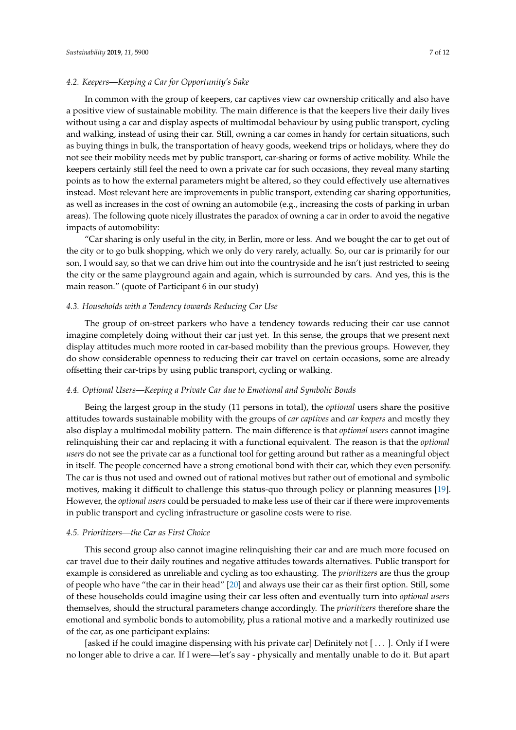#### *4.2. Keepers—Keeping a Car for Opportunity's Sake*

In common with the group of keepers, car captives view car ownership critically and also have a positive view of sustainable mobility. The main difference is that the keepers live their daily lives without using a car and display aspects of multimodal behaviour by using public transport, cycling and walking, instead of using their car. Still, owning a car comes in handy for certain situations, such as buying things in bulk, the transportation of heavy goods, weekend trips or holidays, where they do not see their mobility needs met by public transport, car-sharing or forms of active mobility. While the keepers certainly still feel the need to own a private car for such occasions, they reveal many starting points as to how the external parameters might be altered, so they could effectively use alternatives instead. Most relevant here are improvements in public transport, extending car sharing opportunities, as well as increases in the cost of owning an automobile (e.g., increasing the costs of parking in urban areas). The following quote nicely illustrates the paradox of owning a car in order to avoid the negative impacts of automobility:

"Car sharing is only useful in the city, in Berlin, more or less. And we bought the car to get out of the city or to go bulk shopping, which we only do very rarely, actually. So, our car is primarily for our son, I would say, so that we can drive him out into the countryside and he isn't just restricted to seeing the city or the same playground again and again, which is surrounded by cars. And yes, this is the main reason." (quote of Participant 6 in our study)

#### *4.3. Households with a Tendency towards Reducing Car Use*

The group of on-street parkers who have a tendency towards reducing their car use cannot imagine completely doing without their car just yet. In this sense, the groups that we present next display attitudes much more rooted in car-based mobility than the previous groups. However, they do show considerable openness to reducing their car travel on certain occasions, some are already offsetting their car-trips by using public transport, cycling or walking.

#### *4.4. Optional Users—Keeping a Private Car due to Emotional and Symbolic Bonds*

Being the largest group in the study (11 persons in total), the *optional* users share the positive attitudes towards sustainable mobility with the groups of *car captives* and *car keepers* and mostly they also display a multimodal mobility pattern. The main difference is that *optional users* cannot imagine relinquishing their car and replacing it with a functional equivalent. The reason is that the *optional users* do not see the private car as a functional tool for getting around but rather as a meaningful object in itself. The people concerned have a strong emotional bond with their car, which they even personify. The car is thus not used and owned out of rational motives but rather out of emotional and symbolic motives, making it difficult to challenge this status-quo through policy or planning measures [\[19\]](#page-10-18). However, the *optional users* could be persuaded to make less use of their car if there were improvements in public transport and cycling infrastructure or gasoline costs were to rise.

#### *4.5. Prioritizers—the Car as First Choice*

This second group also cannot imagine relinquishing their car and are much more focused on car travel due to their daily routines and negative attitudes towards alternatives. Public transport for example is considered as unreliable and cycling as too exhausting. The *prioritizers* are thus the group of people who have "the car in their head" [\[20\]](#page-10-19) and always use their car as their first option. Still, some of these households could imagine using their car less often and eventually turn into *optional users* themselves, should the structural parameters change accordingly. The *prioritizers* therefore share the emotional and symbolic bonds to automobility, plus a rational motive and a markedly routinized use of the car, as one participant explains:

[asked if he could imagine dispensing with his private car] Definitely not [...]. Only if I were no longer able to drive a car. If I were—let's say - physically and mentally unable to do it. But apart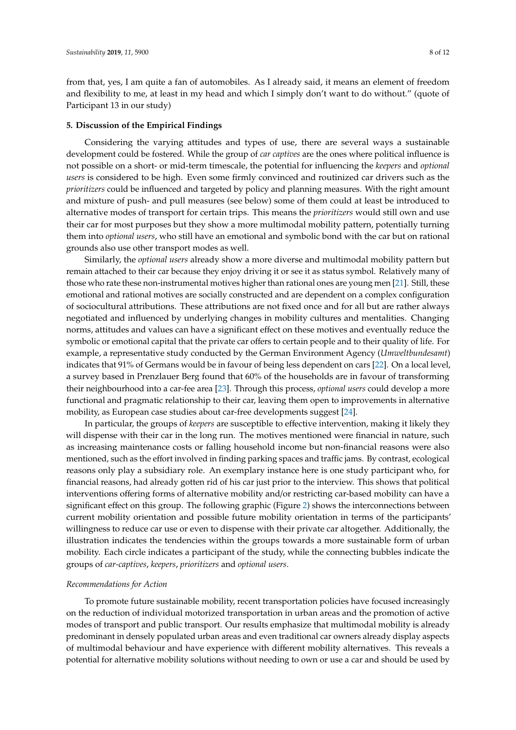from that, yes, I am quite a fan of automobiles. As I already said, it means an element of freedom and flexibility to me, at least in my head and which I simply don't want to do without." (quote of Participant 13 in our study)

#### **5. Discussion of the Empirical Findings**

Considering the varying attitudes and types of use, there are several ways a sustainable development could be fostered. While the group of *car captives* are the ones where political influence is not possible on a short- or mid-term timescale, the potential for influencing the *keepers* and *optional users* is considered to be high. Even some firmly convinced and routinized car drivers such as the *prioritizers* could be influenced and targeted by policy and planning measures. With the right amount and mixture of push- and pull measures (see below) some of them could at least be introduced to alternative modes of transport for certain trips. This means the *prioritizers* would still own and use their car for most purposes but they show a more multimodal mobility pattern, potentially turning them into *optional users*, who still have an emotional and symbolic bond with the car but on rational grounds also use other transport modes as well.

Similarly, the *optional users* already show a more diverse and multimodal mobility pattern but remain attached to their car because they enjoy driving it or see it as status symbol. Relatively many of those who rate these non-instrumental motives higher than rational ones are young men [\[21\]](#page-10-20). Still, these emotional and rational motives are socially constructed and are dependent on a complex configuration of sociocultural attributions. These attributions are not fixed once and for all but are rather always negotiated and influenced by underlying changes in mobility cultures and mentalities. Changing norms, attitudes and values can have a significant effect on these motives and eventually reduce the symbolic or emotional capital that the private car offers to certain people and to their quality of life. For example, a representative study conducted by the German Environment Agency (*Umweltbundesamt*) indicates that 91% of Germans would be in favour of being less dependent on cars [\[22\]](#page-10-21). On a local level, a survey based in Prenzlauer Berg found that 60% of the households are in favour of transforming their neighbourhood into a car-fee area [\[23\]](#page-10-22). Through this process, *optional users* could develop a more functional and pragmatic relationship to their car, leaving them open to improvements in alternative mobility, as European case studies about car-free developments suggest [\[24\]](#page-10-23).

In particular, the groups of *keepers* are susceptible to effective intervention, making it likely they will dispense with their car in the long run. The motives mentioned were financial in nature, such as increasing maintenance costs or falling household income but non-financial reasons were also mentioned, such as the effort involved in finding parking spaces and traffic jams. By contrast, ecological reasons only play a subsidiary role. An exemplary instance here is one study participant who, for financial reasons, had already gotten rid of his car just prior to the interview. This shows that political interventions offering forms of alternative mobility and/or restricting car-based mobility can have a significant effect on this group. The following graphic (Figure [2\)](#page-5-0) shows the interconnections between current mobility orientation and possible future mobility orientation in terms of the participants' willingness to reduce car use or even to dispense with their private car altogether. Additionally, the illustration indicates the tendencies within the groups towards a more sustainable form of urban mobility. Each circle indicates a participant of the study, while the connecting bubbles indicate the groups of *car-captives*, *keepers*, *prioritizers* and *optional users*.

#### *Recommendations for Action*

To promote future sustainable mobility, recent transportation policies have focused increasingly on the reduction of individual motorized transportation in urban areas and the promotion of active modes of transport and public transport. Our results emphasize that multimodal mobility is already predominant in densely populated urban areas and even traditional car owners already display aspects of multimodal behaviour and have experience with different mobility alternatives. This reveals a potential for alternative mobility solutions without needing to own or use a car and should be used by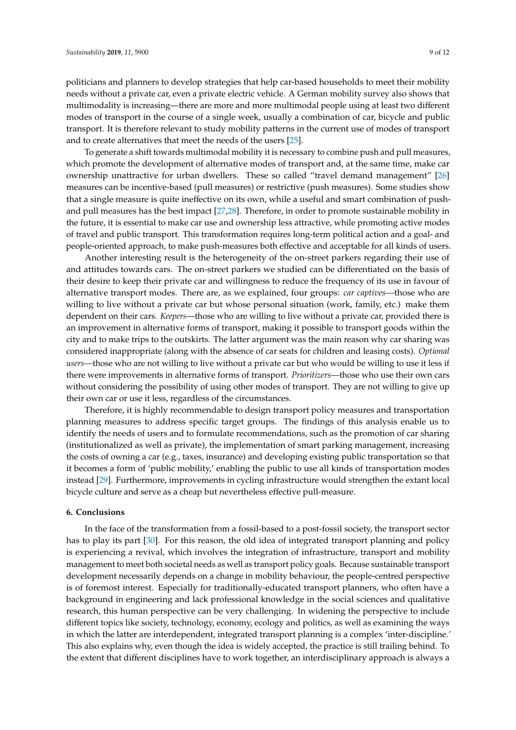politicians and planners to develop strategies that help car-based households to meet their mobility needs without a private car, even a private electric vehicle. A German mobility survey also shows that multimodality is increasing—there are more and more multimodal people using at least two different modes of transport in the course of a single week, usually a combination of car, bicycle and public transport. It is therefore relevant to study mobility patterns in the current use of modes of transport and to create alternatives that meet the needs of the users [\[25\]](#page-10-24).

To generate a shift towards multimodal mobility it is necessary to combine push and pull measures, which promote the development of alternative modes of transport and, at the same time, make car ownership unattractive for urban dwellers. These so called "travel demand management" [\[26\]](#page-10-25) measures can be incentive-based (pull measures) or restrictive (push measures). Some studies show that a single measure is quite ineffective on its own, while a useful and smart combination of pushand pull measures has the best impact [\[27](#page-10-26)[,28\]](#page-11-0). Therefore, in order to promote sustainable mobility in the future, it is essential to make car use and ownership less attractive, while promoting active modes of travel and public transport. This transformation requires long-term political action and a goal- and people-oriented approach, to make push-measures both effective and acceptable for all kinds of users.

Another interesting result is the heterogeneity of the on-street parkers regarding their use of and attitudes towards cars. The on-street parkers we studied can be differentiated on the basis of their desire to keep their private car and willingness to reduce the frequency of its use in favour of alternative transport modes. There are, as we explained, four groups: *car captives—*those who are willing to live without a private car but whose personal situation (work, family, etc.) make them dependent on their cars. *Keepers*—those who are willing to live without a private car, provided there is an improvement in alternative forms of transport, making it possible to transport goods within the city and to make trips to the outskirts. The latter argument was the main reason why car sharing was considered inappropriate (along with the absence of car seats for children and leasing costs). *Optional users—*those who are not willing to live without a private car but who would be willing to use it less if there were improvements in alternative forms of transport. *Prioritizers—*those who use their own cars without considering the possibility of using other modes of transport. They are not willing to give up their own car or use it less, regardless of the circumstances.

Therefore, it is highly recommendable to design transport policy measures and transportation planning measures to address specific target groups. The findings of this analysis enable us to identify the needs of users and to formulate recommendations, such as the promotion of car sharing (institutionalized as well as private), the implementation of smart parking management, increasing the costs of owning a car (e.g., taxes, insurance) and developing existing public transportation so that it becomes a form of 'public mobility,' enabling the public to use all kinds of transportation modes instead [\[29\]](#page-11-1). Furthermore, improvements in cycling infrastructure would strengthen the extant local bicycle culture and serve as a cheap but nevertheless effective pull-measure.

#### **6. Conclusions**

In the face of the transformation from a fossil-based to a post-fossil society, the transport sector has to play its part [\[30\]](#page-11-2). For this reason, the old idea of integrated transport planning and policy is experiencing a revival, which involves the integration of infrastructure, transport and mobility management to meet both societal needs as well as transport policy goals. Because sustainable transport development necessarily depends on a change in mobility behaviour, the people-centred perspective is of foremost interest. Especially for traditionally-educated transport planners, who often have a background in engineering and lack professional knowledge in the social sciences and qualitative research, this human perspective can be very challenging. In widening the perspective to include different topics like society, technology, economy, ecology and politics, as well as examining the ways in which the latter are interdependent, integrated transport planning is a complex 'inter-discipline.' This also explains why, even though the idea is widely accepted, the practice is still trailing behind. To the extent that different disciplines have to work together, an interdisciplinary approach is always a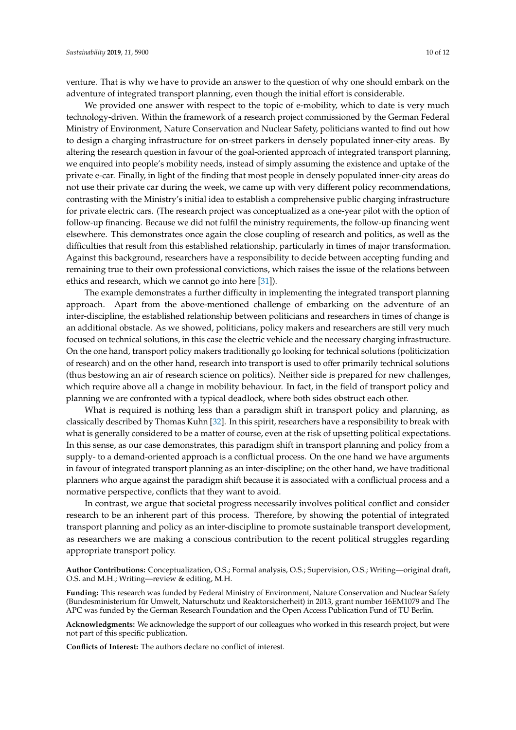venture. That is why we have to provide an answer to the question of why one should embark on the adventure of integrated transport planning, even though the initial effort is considerable.

We provided one answer with respect to the topic of e-mobility, which to date is very much technology-driven. Within the framework of a research project commissioned by the German Federal Ministry of Environment, Nature Conservation and Nuclear Safety, politicians wanted to find out how to design a charging infrastructure for on-street parkers in densely populated inner-city areas. By altering the research question in favour of the goal-oriented approach of integrated transport planning, we enquired into people's mobility needs, instead of simply assuming the existence and uptake of the private e-car. Finally, in light of the finding that most people in densely populated inner-city areas do not use their private car during the week, we came up with very different policy recommendations, contrasting with the Ministry's initial idea to establish a comprehensive public charging infrastructure for private electric cars. (The research project was conceptualized as a one-year pilot with the option of follow-up financing. Because we did not fulfil the ministry requirements, the follow-up financing went elsewhere. This demonstrates once again the close coupling of research and politics, as well as the difficulties that result from this established relationship, particularly in times of major transformation. Against this background, researchers have a responsibility to decide between accepting funding and remaining true to their own professional convictions, which raises the issue of the relations between ethics and research, which we cannot go into here [\[31\]](#page-11-3)).

The example demonstrates a further difficulty in implementing the integrated transport planning approach. Apart from the above-mentioned challenge of embarking on the adventure of an inter-discipline, the established relationship between politicians and researchers in times of change is an additional obstacle. As we showed, politicians, policy makers and researchers are still very much focused on technical solutions, in this case the electric vehicle and the necessary charging infrastructure. On the one hand, transport policy makers traditionally go looking for technical solutions (politicization of research) and on the other hand, research into transport is used to offer primarily technical solutions (thus bestowing an air of research science on politics). Neither side is prepared for new challenges, which require above all a change in mobility behaviour. In fact, in the field of transport policy and planning we are confronted with a typical deadlock, where both sides obstruct each other.

What is required is nothing less than a paradigm shift in transport policy and planning, as classically described by Thomas Kuhn [\[32\]](#page-11-4). In this spirit, researchers have a responsibility to break with what is generally considered to be a matter of course, even at the risk of upsetting political expectations. In this sense, as our case demonstrates, this paradigm shift in transport planning and policy from a supply- to a demand-oriented approach is a conflictual process. On the one hand we have arguments in favour of integrated transport planning as an inter-discipline; on the other hand, we have traditional planners who argue against the paradigm shift because it is associated with a conflictual process and a normative perspective, conflicts that they want to avoid.

In contrast, we argue that societal progress necessarily involves political conflict and consider research to be an inherent part of this process. Therefore, by showing the potential of integrated transport planning and policy as an inter-discipline to promote sustainable transport development, as researchers we are making a conscious contribution to the recent political struggles regarding appropriate transport policy.

**Author Contributions:** Conceptualization, O.S.; Formal analysis, O.S.; Supervision, O.S.; Writing—original draft, O.S. and M.H.; Writing—review & editing, M.H.

**Funding:** This research was funded by Federal Ministry of Environment, Nature Conservation and Nuclear Safety (Bundesministerium für Umwelt, Naturschutz und Reaktorsicherheit) in 2013, grant number 16EM1079 and The APC was funded by the German Research Foundation and the Open Access Publication Fund of TU Berlin.

**Acknowledgments:** We acknowledge the support of our colleagues who worked in this research project, but were not part of this specific publication.

**Conflicts of Interest:** The authors declare no conflict of interest.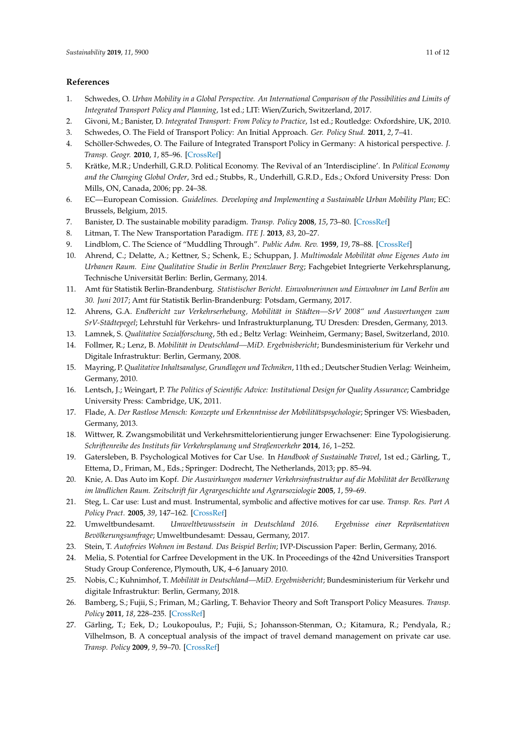# **References**

- <span id="page-10-0"></span>1. Schwedes, O. *Urban Mobility in a Global Perspective. An International Comparison of the Possibilities and Limits of Integrated Transport Policy and Planning*, 1st ed.; LIT: Wien/Zurich, Switzerland, 2017.
- <span id="page-10-1"></span>2. Givoni, M.; Banister, D. *Integrated Transport: From Policy to Practice*, 1st ed.; Routledge: Oxfordshire, UK, 2010.
- <span id="page-10-2"></span>3. Schwedes, O. The Field of Transport Policy: An Initial Approach. *Ger. Policy Stud.* **2011**, *2*, 7–41.
- <span id="page-10-3"></span>4. Schöller-Schwedes, O. The Failure of Integrated Transport Policy in Germany: A historical perspective. *J. Transp. Geogr.* **2010**, *1*, 85–96. [\[CrossRef\]](http://dx.doi.org/10.1016/j.jtrangeo.2009.01.006)
- <span id="page-10-4"></span>5. Krätke, M.R.; Underhill, G.R.D. Political Economy. The Revival of an 'Interdiscipline'. In *Political Economy and the Changing Global Order*, 3rd ed.; Stubbs, R., Underhill, G.R.D., Eds.; Oxford University Press: Don Mills, ON, Canada, 2006; pp. 24–38.
- <span id="page-10-5"></span>6. EC—European Comission. *Guidelines. Developing and Implementing a Sustainable Urban Mobility Plan*; EC: Brussels, Belgium, 2015.
- <span id="page-10-6"></span>7. Banister, D. The sustainable mobility paradigm. *Transp. Policy* **2008**, *15*, 73–80. [\[CrossRef\]](http://dx.doi.org/10.1016/j.tranpol.2007.10.005)
- <span id="page-10-7"></span>8. Litman, T. The New Transportation Paradigm. *ITE J.* **2013**, *83*, 20–27.
- <span id="page-10-8"></span>9. Lindblom, C. The Science of "Muddling Through". *Public Adm. Rev.* **1959**, *19*, 78–88. [\[CrossRef\]](http://dx.doi.org/10.2307/973677)
- <span id="page-10-9"></span>10. Ahrend, C.; Delatte, A.; Kettner, S.; Schenk, E.; Schuppan, J. *Multimodale Mobilität ohne Eigenes Auto im Urbanen Raum. Eine Qualitative Studie in Berlin Prenzlauer Berg*; Fachgebiet Integrierte Verkehrsplanung, Technische Universität Berlin: Berlin, Germany, 2014.
- <span id="page-10-10"></span>11. Amt für Statistik Berlin-Brandenburg. *Statistischer Bericht. Einwohnerinnen und Einwohner im Land Berlin am 30. Juni 2017*; Amt für Statistik Berlin-Brandenburg: Potsdam, Germany, 2017.
- <span id="page-10-11"></span>12. Ahrens, G.A. *Endbericht zur Verkehrserhebung, Mobilität in Städten—SrV 2008" und Auswertungen zum SrV-Städtepegel*; Lehrstuhl für Verkehrs- und Infrastrukturplanung, TU Dresden: Dresden, Germany, 2013.
- <span id="page-10-12"></span>13. Lamnek, S. *Qualitative Sozialforschung*, 5th ed.; Beltz Verlag: Weinheim, Germany; Basel, Switzerland, 2010.
- <span id="page-10-13"></span>14. Follmer, R.; Lenz, B. *Mobilität in Deutschland—MiD. Ergebnisbericht*; Bundesministerium für Verkehr und Digitale Infrastruktur: Berlin, Germany, 2008.
- <span id="page-10-14"></span>15. Mayring, P. *Qualitative Inhaltsanalyse, Grundlagen und Techniken*, 11th ed.; Deutscher Studien Verlag: Weinheim, Germany, 2010.
- <span id="page-10-15"></span>16. Lentsch, J.; Weingart, P. *The Politics of Scientific Advice: Institutional Design for Quality Assurance*; Cambridge University Press: Cambridge, UK, 2011.
- <span id="page-10-16"></span>17. Flade, A. *Der Rastlose Mensch: Konzepte und Erkenntnisse der Mobilitätspsychologie*; Springer VS: Wiesbaden, Germany, 2013.
- <span id="page-10-17"></span>18. Wittwer, R. Zwangsmobilität und Verkehrsmittelorientierung junger Erwachsener: Eine Typologisierung. *Schriftenreihe des Instituts für Verkehrsplanung und Straßenverkehr* **2014**, *16*, 1–252.
- <span id="page-10-18"></span>19. Gatersleben, B. Psychological Motives for Car Use. In *Handbook of Sustainable Travel*, 1st ed.; Gärling, T., Ettema, D., Friman, M., Eds.; Springer: Dodrecht, The Netherlands, 2013; pp. 85–94.
- <span id="page-10-19"></span>20. Knie, A. Das Auto im Kopf. *Die Auswirkungen moderner Verkehrsinfrastruktur auf die Mobilität der Bevölkerung im ländlichen Raum. Zeitschrift für Agrargeschichte und Agrarsoziologie* **2005**, *1*, 59–69.
- <span id="page-10-20"></span>21. Steg, L. Car use: Lust and must. Instrumental, symbolic and affective motives for car use. *Transp. Res. Part A Policy Pract.* **2005**, *39*, 147–162. [\[CrossRef\]](http://dx.doi.org/10.1016/j.tra.2004.07.001)
- <span id="page-10-21"></span>22. Umweltbundesamt. *Umweltbewusstsein in Deutschland 2016. Ergebnisse einer Repräsentativen Bevölkerungsumfrage*; Umweltbundesamt: Dessau, Germany, 2017.
- <span id="page-10-22"></span>23. Stein, T. *Autofreies Wohnen im Bestand. Das Beispiel Berlin*; IVP-Discussion Paper: Berlin, Germany, 2016.
- <span id="page-10-23"></span>24. Melia, S. Potential for Carfree Development in the UK. In Proceedings of the 42nd Universities Transport Study Group Conference, Plymouth, UK, 4–6 January 2010.
- <span id="page-10-24"></span>25. Nobis, C.; Kuhnimhof, T. *Mobilität in Deutschland—MiD. Ergebnisbericht*; Bundesministerium für Verkehr und digitale Infrastruktur: Berlin, Germany, 2018.
- <span id="page-10-25"></span>26. Bamberg, S.; Fujii, S.; Friman, M.; Gärling, T. Behavior Theory and Soft Transport Policy Measures. *Transp. Policy* **2011**, *18*, 228–235. [\[CrossRef\]](http://dx.doi.org/10.1016/j.tranpol.2010.08.006)
- <span id="page-10-26"></span>27. Gärling, T.; Eek, D.; Loukopoulus, P.; Fujii, S.; Johansson-Stenman, O.; Kitamura, R.; Pendyala, R.; Vilhelmson, B. A conceptual analysis of the impact of travel demand management on private car use. *Transp. Policy* **2009**, *9*, 59–70. [\[CrossRef\]](http://dx.doi.org/10.1016/S0967-070X(01)00035-X)